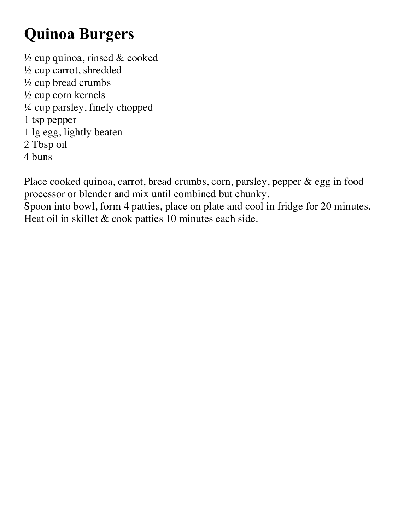## **Quinoa Burgers**

 $\frac{1}{2}$  cup quinoa, rinsed & cooked ½ cup carrot, shredded ½ cup bread crumbs ½ cup corn kernels ¼ cup parsley, finely chopped 1 tsp pepper 1 lg egg, lightly beaten 2 Tbsp oil 4 buns

Place cooked quinoa, carrot, bread crumbs, corn, parsley, pepper & egg in food processor or blender and mix until combined but chunky.

Spoon into bowl, form 4 patties, place on plate and cool in fridge for 20 minutes. Heat oil in skillet & cook patties 10 minutes each side.